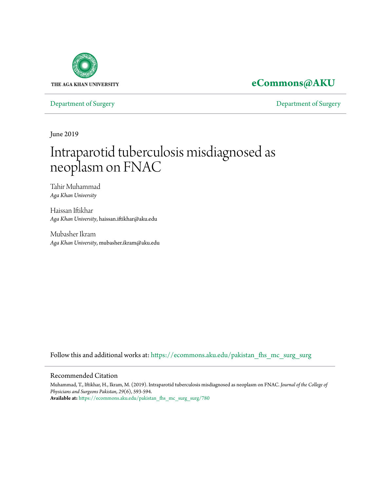

### **[eCommons@AKU](https://ecommons.aku.edu?utm_source=ecommons.aku.edu%2Fpakistan_fhs_mc_surg_surg%2F780&utm_medium=PDF&utm_campaign=PDFCoverPages)**

[Department of Surgery](https://ecommons.aku.edu/pakistan_fhs_mc_surg_surg?utm_source=ecommons.aku.edu%2Fpakistan_fhs_mc_surg_surg%2F780&utm_medium=PDF&utm_campaign=PDFCoverPages) [Department of Surgery](https://ecommons.aku.edu/pakistan_fhs_mc_surg?utm_source=ecommons.aku.edu%2Fpakistan_fhs_mc_surg_surg%2F780&utm_medium=PDF&utm_campaign=PDFCoverPages)

June 2019

# Intraparotid tuberculosis misdiagnosed as neoplasm on FNAC

Tahir Muhammad *Aga Khan University*

Haissan Iftikhar *Aga Khan University*, haissan.iftikhar@aku.edu

Mubasher Ikram *Aga Khan University*, mubasher.ikram@aku.edu

Follow this and additional works at: [https://ecommons.aku.edu/pakistan\\_fhs\\_mc\\_surg\\_surg](https://ecommons.aku.edu/pakistan_fhs_mc_surg_surg?utm_source=ecommons.aku.edu%2Fpakistan_fhs_mc_surg_surg%2F780&utm_medium=PDF&utm_campaign=PDFCoverPages)

#### Recommended Citation

Muhammad, T., Iftikhar, H., Ikram, M. (2019). Intraparotid tuberculosis misdiagnosed as neoplasm on FNAC. *Journal of the College of Physicians and Surgeons Pakistan, 29*(6), 593-594. **Available at:** [https://ecommons.aku.edu/pakistan\\_fhs\\_mc\\_surg\\_surg/780](https://ecommons.aku.edu/pakistan_fhs_mc_surg_surg/780)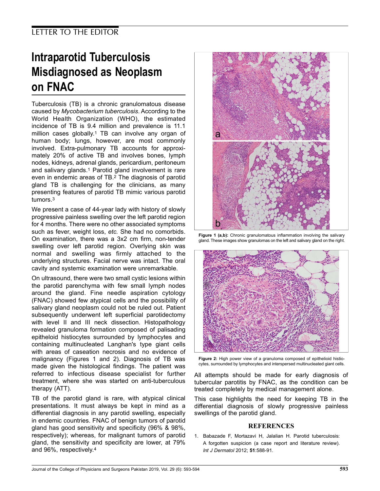## Intraparotid Tuberculosis Misdiagnosed as Neoplasm on FNAC

Tuberculosis (TB) is a chronic granulomatous disease caused by Mycobacterium tuberculosis. According to the World Health Organization (WHO), the estimated incidence of TB is 9.4 million and prevalence is 11.1 million cases globally.<sup>1</sup> TB can involve any organ of human body; lungs, however, are most commonly involved. Extra-pulmonary TB accounts for approximately 20% of active TB and involves bones, lymph nodes, kidneys, adrenal glands, pericardium, peritoneum and salivary glands.<sup>1</sup> Parotid gland involvement is rare even in endemic areas of TB.<sup>2</sup> The diagnosis of parotid gland TB is challenging for the clinicians, as many presenting features of parotid TB mimic various parotid tumors.<sup>3</sup>

We present a case of 44-year lady with history of slowly progressive painless swelling over the left parotid region for 4 months. There were no other associated symptoms such as fever, weight loss, etc. She had no comorbids. On examination, there was a 3x2 cm firm, non-tender swelling over left parotid region. Overlying skin was normal and swelling was firmly attached to the underlying structures. Facial nerve was intact. The oral cavity and systemic examination were unremarkable.

On ultrasound, there were two small cystic lesions within the parotid parenchyma with few small lymph nodes around the gland. Fine needle aspiration cytology (FNAC) showed few atypical cells and the possibility of salivary gland neoplasm could not be ruled out. Patient subsequently underwent left superficial parotidectomy with level II and III neck dissection. Histopathology revealed granuloma formation composed of palisading epitheloid histiocytes surrounded by lymphocytes and containing multinucleated Langhan's type giant cells with areas of caseation necrosis and no evidence of malignancy (Figures 1 and 2). Diagnosis of TB was made given the histological findings. The patient was referred to infectious disease specialist for further treatment, where she was started on anti-tuberculous therapy (ATT).

TB of the parotid gland is rare, with atypical clinical presentations. It must always be kept in mind as a differential diagnosis in any parotid swelling, especially in endemic countries. FNAC of benign tumors of parotid gland has good sensitivity and specificity (96% & 98%, respectively); whereas, for malignant tumors of parotid gland, the sensitivity and specificity are lower, at 79% and 96%, respectively.<sup>4</sup>



Figure 1 (a,b): Chronic granulomatous inflammation involving the salivary gland. These images show granulomas on the left and salivary gland on the right.



Figure 2: High power view of a granuloma composed of epithelioid histiocytes, surrounded by lymphocytes and interspersed multinucleated giant cells.

All attempts should be made for early diagnosis of tubercular parotitis by FNAC, as the condition can be treated completely by medical management alone.

This case highlights the need for keeping TB in the differential diagnosis of slowly progressive painless swellings of the parotid gland.

#### **REFERENCES**

1. Babazade F, Mortazavi H, Jalalian H. Parotid tuberculosis: A forgotten suspicion (a case report and literature review). Int J Dermatol 2012; 51:588-91.